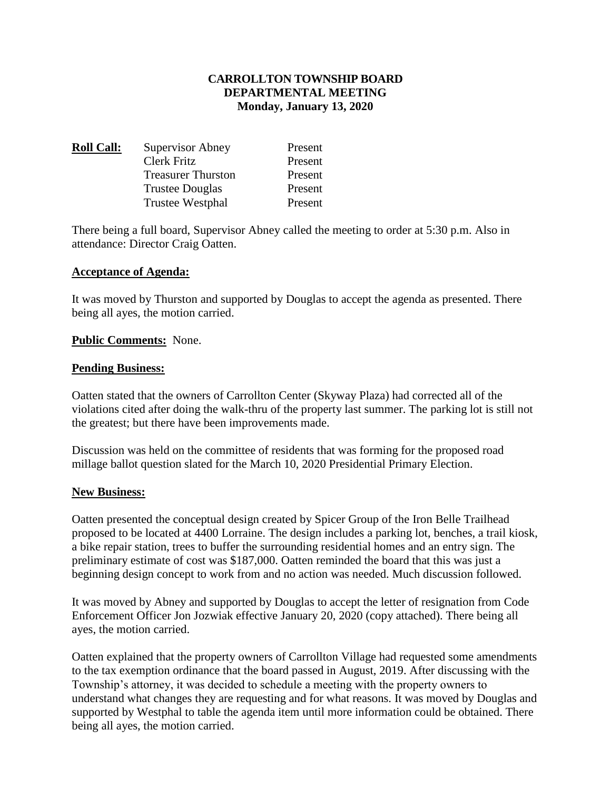## **CARROLLTON TOWNSHIP BOARD DEPARTMENTAL MEETING Monday, January 13, 2020**

| <b>Roll Call:</b> | <b>Supervisor Abney</b>   | Present |
|-------------------|---------------------------|---------|
|                   | Clerk Fritz               | Present |
|                   | <b>Treasurer Thurston</b> | Present |
|                   | <b>Trustee Douglas</b>    | Present |
|                   | Trustee Westphal          | Present |

There being a full board, Supervisor Abney called the meeting to order at 5:30 p.m. Also in attendance: Director Craig Oatten.

#### **Acceptance of Agenda:**

It was moved by Thurston and supported by Douglas to accept the agenda as presented. There being all ayes, the motion carried.

### **Public Comments:** None.

#### **Pending Business:**

Oatten stated that the owners of Carrollton Center (Skyway Plaza) had corrected all of the violations cited after doing the walk-thru of the property last summer. The parking lot is still not the greatest; but there have been improvements made.

Discussion was held on the committee of residents that was forming for the proposed road millage ballot question slated for the March 10, 2020 Presidential Primary Election.

#### **New Business:**

Oatten presented the conceptual design created by Spicer Group of the Iron Belle Trailhead proposed to be located at 4400 Lorraine. The design includes a parking lot, benches, a trail kiosk, a bike repair station, trees to buffer the surrounding residential homes and an entry sign. The preliminary estimate of cost was \$187,000. Oatten reminded the board that this was just a beginning design concept to work from and no action was needed. Much discussion followed.

It was moved by Abney and supported by Douglas to accept the letter of resignation from Code Enforcement Officer Jon Jozwiak effective January 20, 2020 (copy attached). There being all ayes, the motion carried.

Oatten explained that the property owners of Carrollton Village had requested some amendments to the tax exemption ordinance that the board passed in August, 2019. After discussing with the Township's attorney, it was decided to schedule a meeting with the property owners to understand what changes they are requesting and for what reasons. It was moved by Douglas and supported by Westphal to table the agenda item until more information could be obtained. There being all ayes, the motion carried.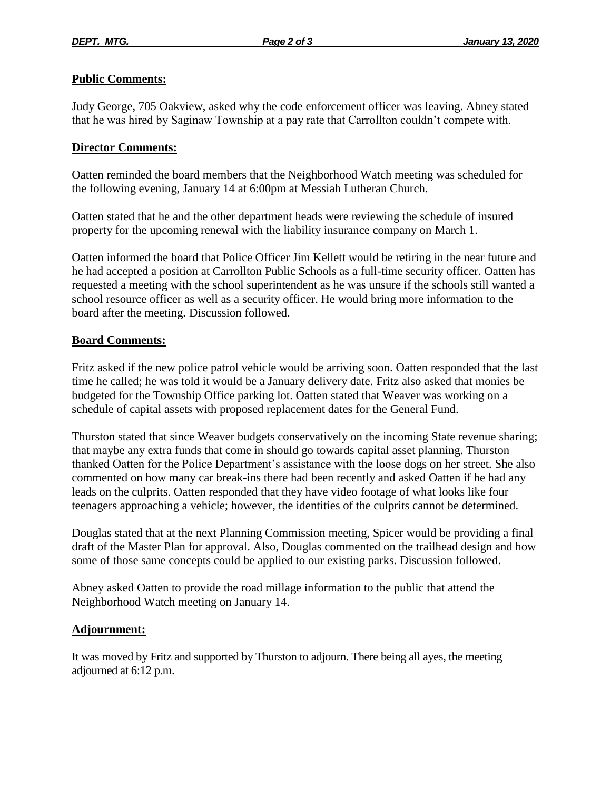## **Public Comments:**

Judy George, 705 Oakview, asked why the code enforcement officer was leaving. Abney stated that he was hired by Saginaw Township at a pay rate that Carrollton couldn't compete with.

## **Director Comments:**

Oatten reminded the board members that the Neighborhood Watch meeting was scheduled for the following evening, January 14 at 6:00pm at Messiah Lutheran Church.

Oatten stated that he and the other department heads were reviewing the schedule of insured property for the upcoming renewal with the liability insurance company on March 1.

Oatten informed the board that Police Officer Jim Kellett would be retiring in the near future and he had accepted a position at Carrollton Public Schools as a full-time security officer. Oatten has requested a meeting with the school superintendent as he was unsure if the schools still wanted a school resource officer as well as a security officer. He would bring more information to the board after the meeting. Discussion followed.

### **Board Comments:**

Fritz asked if the new police patrol vehicle would be arriving soon. Oatten responded that the last time he called; he was told it would be a January delivery date. Fritz also asked that monies be budgeted for the Township Office parking lot. Oatten stated that Weaver was working on a schedule of capital assets with proposed replacement dates for the General Fund.

Thurston stated that since Weaver budgets conservatively on the incoming State revenue sharing; that maybe any extra funds that come in should go towards capital asset planning. Thurston thanked Oatten for the Police Department's assistance with the loose dogs on her street. She also commented on how many car break-ins there had been recently and asked Oatten if he had any leads on the culprits. Oatten responded that they have video footage of what looks like four teenagers approaching a vehicle; however, the identities of the culprits cannot be determined.

Douglas stated that at the next Planning Commission meeting, Spicer would be providing a final draft of the Master Plan for approval. Also, Douglas commented on the trailhead design and how some of those same concepts could be applied to our existing parks. Discussion followed.

Abney asked Oatten to provide the road millage information to the public that attend the Neighborhood Watch meeting on January 14.

# **Adjournment:**

It was moved by Fritz and supported by Thurston to adjourn. There being all ayes, the meeting adjourned at 6:12 p.m.